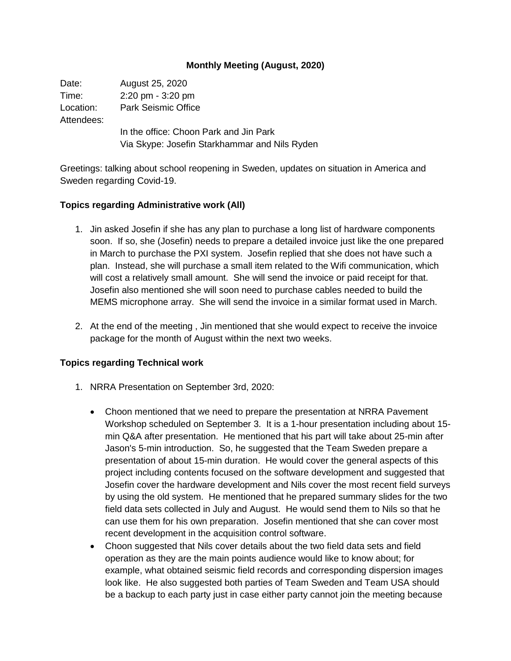## **Monthly Meeting (August, 2020)**

Date: August 25, 2020 Time: 2:20 pm - 3:20 pm Location: Park Seismic Office Attendees: In the office: Choon Park and Jin Park Via Skype: Josefin Starkhammar and Nils Ryden

Greetings: talking about school reopening in Sweden, updates on situation in America and Sweden regarding Covid-19.

## **Topics regarding Administrative work (All)**

- 1. Jin asked Josefin if she has any plan to purchase a long list of hardware components soon. If so, she (Josefin) needs to prepare a detailed invoice just like the one prepared in March to purchase the PXI system. Josefin replied that she does not have such a plan. Instead, she will purchase a small item related to the Wifi communication, which will cost a relatively small amount. She will send the invoice or paid receipt for that. Josefin also mentioned she will soon need to purchase cables needed to build the MEMS microphone array. She will send the invoice in a similar format used in March.
- 2. At the end of the meeting , Jin mentioned that she would expect to receive the invoice package for the month of August within the next two weeks.

## **Topics regarding Technical work**

- 1. NRRA Presentation on September 3rd, 2020:
	- Choon mentioned that we need to prepare the presentation at NRRA Pavement Workshop scheduled on September 3. It is a 1-hour presentation including about 15 min Q&A after presentation. He mentioned that his part will take about 25-min after Jason's 5-min introduction. So, he suggested that the Team Sweden prepare a presentation of about 15-min duration. He would cover the general aspects of this project including contents focused on the software development and suggested that Josefin cover the hardware development and Nils cover the most recent field surveys by using the old system. He mentioned that he prepared summary slides for the two field data sets collected in July and August. He would send them to Nils so that he can use them for his own preparation. Josefin mentioned that she can cover most recent development in the acquisition control software.
	- Choon suggested that Nils cover details about the two field data sets and field operation as they are the main points audience would like to know about; for example, what obtained seismic field records and corresponding dispersion images look like. He also suggested both parties of Team Sweden and Team USA should be a backup to each party just in case either party cannot join the meeting because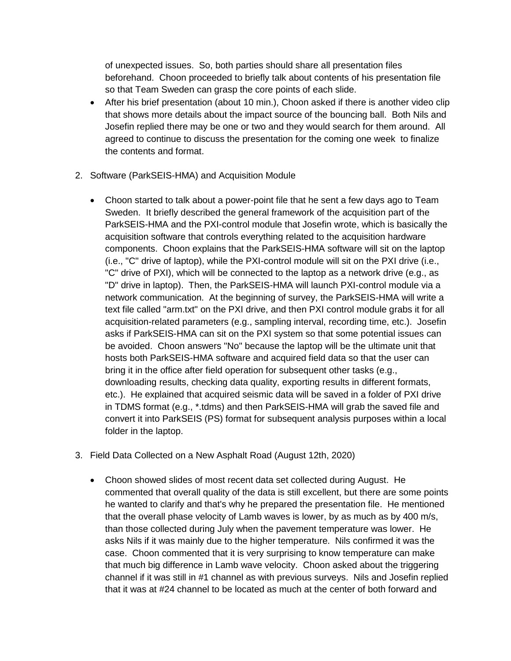of unexpected issues. So, both parties should share all presentation files beforehand. Choon proceeded to briefly talk about contents of his presentation file so that Team Sweden can grasp the core points of each slide.

- After his brief presentation (about 10 min.), Choon asked if there is another video clip that shows more details about the impact source of the bouncing ball. Both Nils and Josefin replied there may be one or two and they would search for them around. All agreed to continue to discuss the presentation for the coming one week to finalize the contents and format.
- 2. Software (ParkSEIS-HMA) and Acquisition Module
	- Choon started to talk about a power-point file that he sent a few days ago to Team Sweden. It briefly described the general framework of the acquisition part of the ParkSEIS-HMA and the PXI-control module that Josefin wrote, which is basically the acquisition software that controls everything related to the acquisition hardware components. Choon explains that the ParkSEIS-HMA software will sit on the laptop (i.e., "C" drive of laptop), while the PXI-control module will sit on the PXI drive (i.e., "C" drive of PXI), which will be connected to the laptop as a network drive (e.g., as "D" drive in laptop). Then, the ParkSEIS-HMA will launch PXI-control module via a network communication. At the beginning of survey, the ParkSEIS-HMA will write a text file called "arm.txt" on the PXI drive, and then PXI control module grabs it for all acquisition-related parameters (e.g., sampling interval, recording time, etc.). Josefin asks if ParkSEIS-HMA can sit on the PXI system so that some potential issues can be avoided. Choon answers "No" because the laptop will be the ultimate unit that hosts both ParkSEIS-HMA software and acquired field data so that the user can bring it in the office after field operation for subsequent other tasks (e.g., downloading results, checking data quality, exporting results in different formats, etc.). He explained that acquired seismic data will be saved in a folder of PXI drive in TDMS format (e.g., \*.tdms) and then ParkSEIS-HMA will grab the saved file and convert it into ParkSEIS (PS) format for subsequent analysis purposes within a local folder in the laptop.
- 3. Field Data Collected on a New Asphalt Road (August 12th, 2020)
	- Choon showed slides of most recent data set collected during August. He commented that overall quality of the data is still excellent, but there are some points he wanted to clarify and that's why he prepared the presentation file. He mentioned that the overall phase velocity of Lamb waves is lower, by as much as by 400 m/s, than those collected during July when the pavement temperature was lower. He asks Nils if it was mainly due to the higher temperature. Nils confirmed it was the case. Choon commented that it is very surprising to know temperature can make that much big difference in Lamb wave velocity. Choon asked about the triggering channel if it was still in #1 channel as with previous surveys. Nils and Josefin replied that it was at #24 channel to be located as much at the center of both forward and